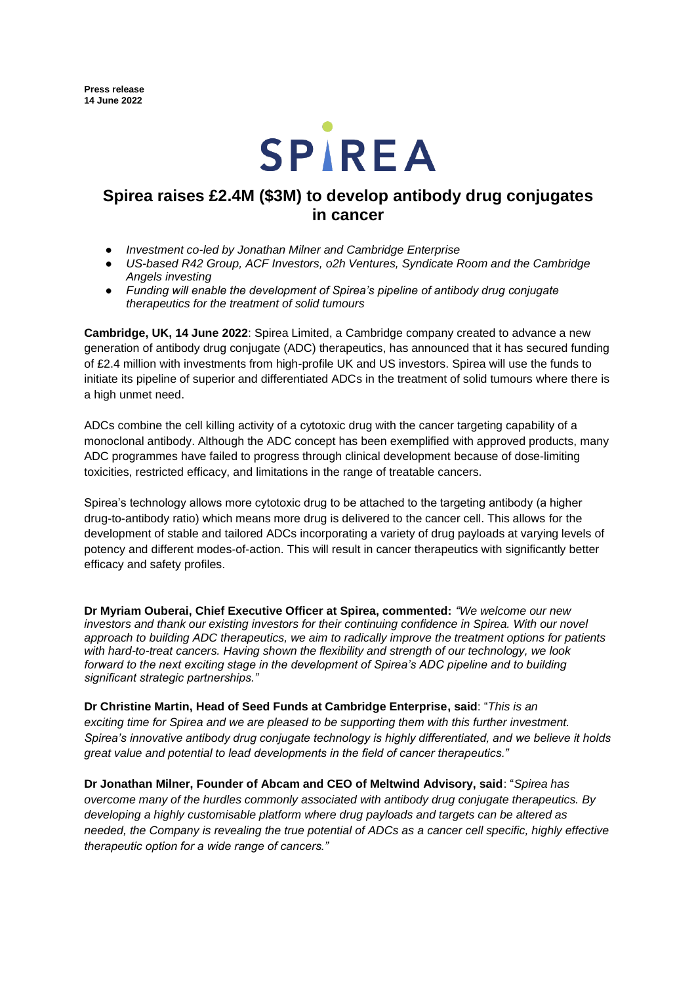

# **Spirea raises £2.4M (\$3M) to develop antibody drug conjugates in cancer**

- *Investment co-led by Jonathan Milner and Cambridge Enterprise*
- *US-based R42 Group, ACF Investors, o2h Ventures, Syndicate Room and the Cambridge Angels investing*
- *Funding will enable the development of Spirea's pipeline of antibody drug conjugate therapeutics for the treatment of solid tumours*

**Cambridge, UK, 14 June 2022**: Spirea Limited, a Cambridge company created to advance a new generation of antibody drug conjugate (ADC) therapeutics, has announced that it has secured funding of £2.4 million with investments from high-profile UK and US investors. Spirea will use the funds to initiate its pipeline of superior and differentiated ADCs in the treatment of solid tumours where there is a high unmet need.

ADCs combine the cell killing activity of a cytotoxic drug with the cancer targeting capability of a monoclonal antibody. Although the ADC concept has been exemplified with approved products, many ADC programmes have failed to progress through clinical development because of dose-limiting toxicities, restricted efficacy, and limitations in the range of treatable cancers.

Spirea's technology allows more cytotoxic drug to be attached to the targeting antibody (a higher drug-to-antibody ratio) which means more drug is delivered to the cancer cell. This allows for the development of stable and tailored ADCs incorporating a variety of drug payloads at varying levels of potency and different modes-of-action. This will result in cancer therapeutics with significantly better efficacy and safety profiles.

**Dr Myriam Ouberai, Chief Executive Officer at Spirea, commented:** *"We welcome our new investors and thank our existing investors for their continuing confidence in Spirea. With our novel approach to building ADC therapeutics, we aim to radically improve the treatment options for patients with hard-to-treat cancers. Having shown the flexibility and strength of our technology, we look forward to the next exciting stage in the development of Spirea's ADC pipeline and to building significant strategic partnerships."*

**Dr Christine Martin, Head of Seed Funds at Cambridge Enterprise, said**: "*This is an exciting time for Spirea and we are pleased to be supporting them with this further investment. Spirea's innovative antibody drug conjugate technology is highly differentiated, and we believe it holds great value and potential to lead developments in the field of cancer therapeutics."*

**Dr Jonathan Milner, Founder of Abcam and CEO of Meltwind Advisory, said**: "*Spirea has overcome many of the hurdles commonly associated with antibody drug conjugate therapeutics. By developing a highly customisable platform where drug payloads and targets can be altered as needed, the Company is revealing the true potential of ADCs as a cancer cell specific, highly effective therapeutic option for a wide range of cancers."*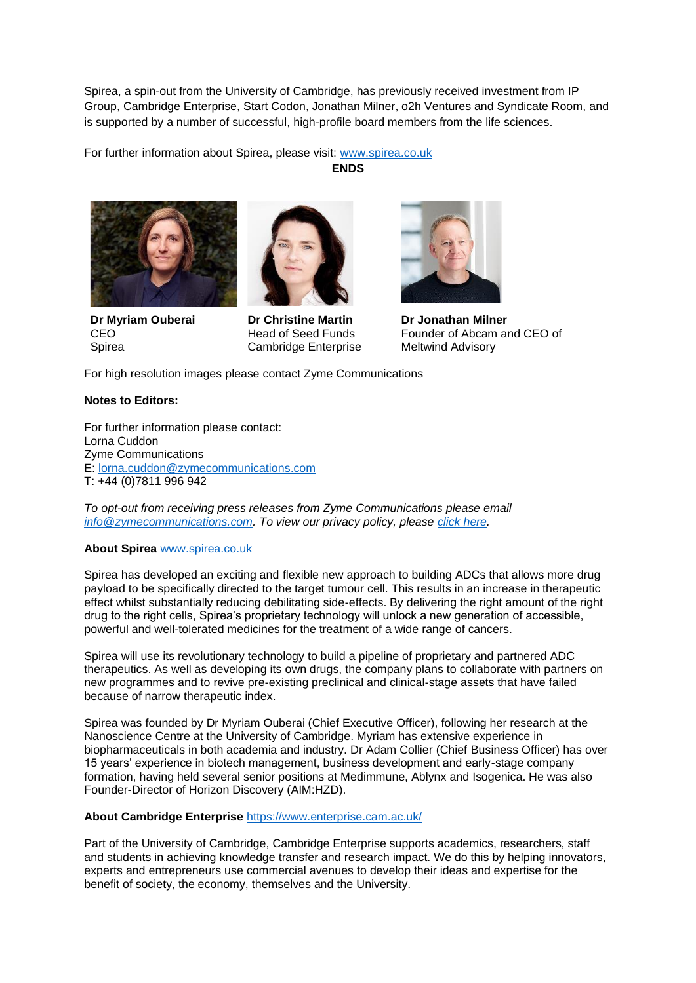Spirea, a spin-out from the University of Cambridge, has previously received investment from IP Group, Cambridge Enterprise, Start Codon, Jonathan Milner, o2h Ventures and Syndicate Room, and is supported by a number of successful, high-profile board members from the life sciences.

For further information about Spirea, please visit: [www.spirea.co.uk](https://www.spirea.co.uk/)

**ENDS**



**Dr Myriam Ouberai** CEO Spirea



**Dr Christine Martin**  Head of Seed Funds Cambridge Enterprise



**Dr Jonathan Milner** Founder of Abcam and CEO of Meltwind Advisory

For high resolution images please contact Zyme Communications

## **Notes to Editors:**

For further information please contact: Lorna Cuddon Zyme Communications E: [lorna.cuddon@zymecommunications.com](mailto:lorna.cuddon@zymecommunications.com) T: +44 (0)7811 996 942

*To opt-out from receiving press releases from Zyme Communications please email [info@zymecommunications.com.](mailto:info@zymecommunications.com) To view our privacy policy, please [click here.](https://www.zymecommunications.com/privacy-policy/)*

## **About Spirea** [www.spirea.co.uk](http://www.spirea.co.uk/)

Spirea has developed an exciting and flexible new approach to building ADCs that allows more drug payload to be specifically directed to the target tumour cell. This results in an increase in therapeutic effect whilst substantially reducing debilitating side-effects. By delivering the right amount of the right drug to the right cells, Spirea's proprietary technology will unlock a new generation of accessible, powerful and well-tolerated medicines for the treatment of a wide range of cancers.

Spirea will use its revolutionary technology to build a pipeline of proprietary and partnered ADC therapeutics. As well as developing its own drugs, the company plans to collaborate with partners on new programmes and to revive pre-existing preclinical and clinical-stage assets that have failed because of narrow therapeutic index.

Spirea was founded by Dr Myriam Ouberai (Chief Executive Officer), following her research at the Nanoscience Centre at the University of Cambridge. Myriam has extensive experience in biopharmaceuticals in both academia and industry. Dr Adam Collier (Chief Business Officer) has over 15 years' experience in biotech management, business development and early-stage company formation, having held several senior positions at Medimmune, Ablynx and Isogenica. He was also Founder-Director of Horizon Discovery (AIM:HZD).

## **About Cambridge Enterprise** <https://www.enterprise.cam.ac.uk/>

Part of the University of Cambridge, Cambridge Enterprise supports academics, researchers, staff and students in achieving knowledge transfer and research impact. We do this by helping innovators, experts and entrepreneurs use commercial avenues to develop their ideas and expertise for the benefit of society, the economy, themselves and the University.